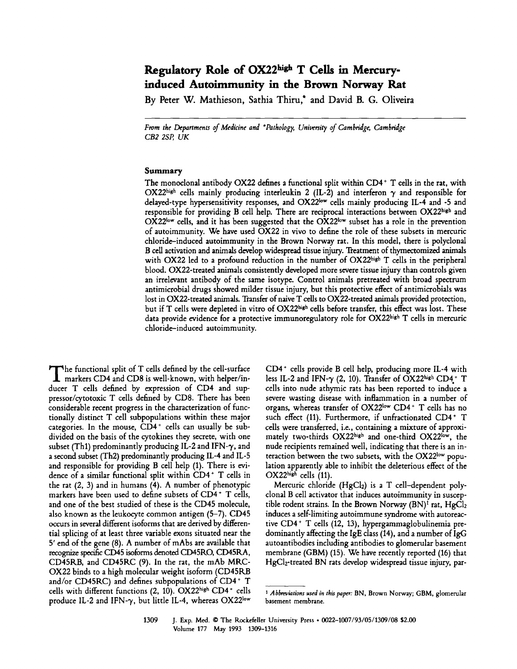# Regulatory Role of OX22high T Cells in Mercury**induced Autoimmunity in the Brown Norway Rat**

By Peter W. Mathieson, Sathia Thiru,\* and David B. G. Oliveira

From the Departments of Medicine and *\*Pathology, University of Cambridge, Cambridge CB2 2SP, UK* 

### **Summary**

The monoclonal antibody OX22 defines a functional split within  $CD4^+$  T cells in the rat, with OX22high cells mainly producing interleukin 2 (IL-2) and interferon  $\gamma$  and responsible for delayed-type hypersensitivity responses, and OX22bw cells mainly producing IL-4 and -5 and responsible for providing B cell help. There are reciprocal interactions between OX22high and OX22<sup>low</sup> cells, and it has been suggested that the OX22<sup>low</sup> subset has a role in the prevention of autoimmunity. We have used OX22 in vivo to define the role of these subsets in mercuric chloride-induced autoimmunity in the Brown Norway rat. In this model, there is polyclonal B cell activation and animals develop widespread tissue injury. Treatment of thymectomized animals with OX22 led to a profound reduction in the number of OX22high T cells in the peripheral blood. OX22-treated animals consistently developed more severe tissue injury than controls given an irrelevant antibody of the same isotype. Control animals pretreated with broad spectrum antimicrobial drugs showed milder tissue injury, but this protective effect of antimicrobials was lost in OX22-treated animals. Transfer of naive T cells to OX22-treated animals provided protection, but if T cells were depleted in vitro of OX22 high cells before transfer, this effect was lost. These data provide evidence for a protective immunoregulatory role for OX22high T cells in mercuric chloride-induced autoimmunity.

The functional split of T cells defined by the cell-surface markers CD4 and CD8 is well-known, with helper/inducer T cells defined by expression of CD4 and suppressor/cytotoxic T cells defined by CDS. There has been considerable recent progress in the characterization of functionally distinct T cell subpopulations within these major categories. In the mouse,  $\overline{CD}4^+$  cells can usually be subdivided on the basis of the cytokines they secrete, with one subset (Th1) predominantly producing IL-2 and IFN- $\gamma$ , and a second subset (Th2) predominantly producing IL-4 and IL-5 and responsible for providing B cell help (1). There is evidence of a similar functional split within CD4 ~ T cells in the rat (2, 3) and in humans (4). A number of phenotypic markers have been used to define subsets of  $CD4^+$  T cells, and one of the best studied of these is the CD45 molecule, also known as the leukocyte common antigen (5-7). CD45 occurs in several different isoforms that are derived by differential splicing of at least three variable exons situated near the 5' end of the gene (8). A number of mAbs are available that recognize specific CD45 isoforms denoted CD45RO, CD45RA, CD45RB, and CD45RC (9). In the rat, the mAb MRC-OX22 binds to a high molecular weight isoform (CD45RB and/or CD45RC) and defines subpopulations of CD4+ T cells with different functions (2, 10). OX22high CD4+ cells produce IL-2 and IFN- $\gamma$ , but little IL-4, whereas OX22low

CD4 + cells provide B cell help, producing more IL-4 with less IL-2 and IFN- $\gamma$  (2, 10). Transfer of OX22high CD4+ T cells into nude athymic rats has been reported to induce a severe wasting disease with inflammation in a number of organs, whereas transfer of OX22low CD4+ T cells has no such effect (11). Furthermore, if unfractionated CD4+ T cells were transferred, i.e., containing a mixture of approximately two-thirds OX22high and one-third OX22<sup>low</sup>, the nude recipients remained well, indicating that there is an interaction between the two subsets, with the  $OX22^{\text{low}}$  population apparently able to inhibit the deleterious effect of the  $OX22^{\text{high}}$  cells (11).

Mercuric chloride (HgCI2) is a T cell-dependent polyclonal B cell activator that induces autoimmunity in susceptible rodent strains. In the Brown Norway  $(BN)^1$  rat,  $HgCl_2$ induces a self-limiting autoimmune syndrome with autoreacrive CD4 + T cells (12, 13), hypergammaglobulinemia predominantly affecting the IgE class (14), and a number of IgG autoantibodies including antibodies to glomerular basement membrane (GBM) (15). We have recently reported (16) that HgClz-treated BN rats develop widespread tissue injury, par-

*I Abbreviations used in tkis paper:* BN, Brown Norway; GBM, glomerular basement membrane.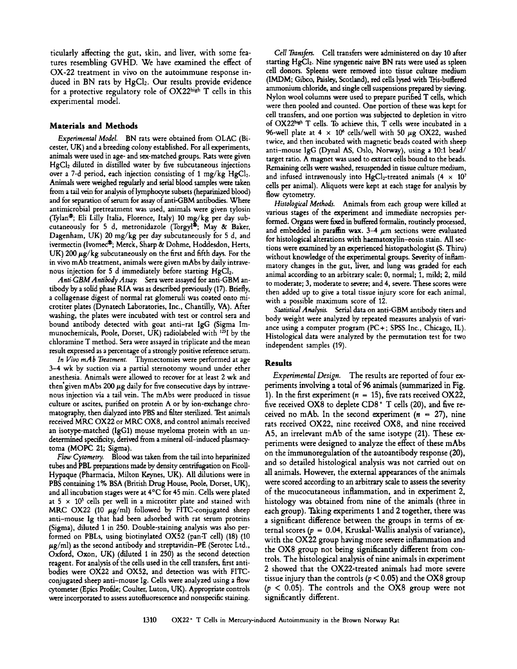ticularly affecting the gut, skin, and liver, with some features resembling GVHD. We have examined the effect of OX-22 treatment in vivo on the autoimmune response induced in BN rats by  $HgCl<sub>2</sub>$ . Our results provide evidence for a protective regulatory role of  $OX22^{\text{high}}$  T cells in this experimental model.

#### **Materials and Methods**

*Experimental Model.* BN rats were obtained from OLAC (Bicester, UK) and a breeding colony established. For all experiments, animals were used in age- and sex-matched groups. Rats were given  $HgCl<sub>2</sub>$  diluted in distilled water by five subcutaneous injections over a 7-d period, each injection consisting of 1 mg/kg  $HgCl<sub>2</sub>$ . Animals were weighed regularly and serial blood samples were taken from a tail vein for analysis of lymphocyte subsets (heparinized blood) and for separation of serum for assay of anti-GBM antibodies. Where antimicrobial pretreatment was used, animals were given tylosin (Tylan<sup>®</sup>; Eli Lilly Italia, Florence, Italy) 10 mg/kg per day subcutaneously for 5 d, metronidazole (Torgyl®; May & Baker, Dagenham, UK) 20 mg/kg per day subcutaneously for 5 d, and ivermectin (Ivomec®; Merck, Sharp & Dohme, Hoddesdon, Herts, UK) 200  $\mu$ g/kg subcutaneously on the first and fifth days. For the in vivo mAb treatment, animals were given mAbs by daily intravenous injection for 5 d immediately before starting HgCl<sub>2</sub>.

*Anti-GBM Antibody Assay.* Sera were assayed for anti-GBM antibody by a solid phase RIA was as described previously (17). Briefly, a collagenase digest of normal rat glomeruli was coated onto microtiter plates (Dynatech Laboratories, Inc., Chantilly, VA). After washing, the plates were incubated with test or control sera and bound antibody detected with goat anti-rat IgG (Sigma Immunochemicals, Poole, Dorset, UK) radiolabeled with  $^{125}I$  by the chloramine T method. Sera were assayed in triplicate and the mean result expressed as a percentage of a strongly positive reference serum.

*In Vivo mAb Treatment.* Thymectomies were performed at age 3-4 wk by suction via a partial sternotomy wound under ether anesthesia. Animals were allowed to recover for at least 2 wk and then given mAbs 200  $\mu$ g daily for five consecutive days by intravenous injection via a tail vein. The mAbs were produced in tissue culture or ascites, purified on protein A or by ion-exchange chromatography, then dialyzed into PBS and filter sterilized. Test animals received MKC OX22 or MRC OX8, and control animals received an isotype-matched (IgG1) mouse myeloma protein with an undetermined specificity, derived from a mineral oil-induced plasmacytoma (MOPC 21; Sigma).

*Flow Cytometry.* Blood was taken from the tail into heparinized tubes and PBL preparations made by density centrifugation on Ficoll-Hypaque (Pharmacia, Milton Keynes, UK). All dilutions were in PBS containing 1% BSA (British Drug House, Poole, Dorset, UK), and all incubation stages were at  $4^{\circ}$ C for 45 min. Cells were plated at  $5 \times 10^5$  cells per well in a microtiter plate and stained with MRC OX22 (10  $\mu$ g/ml) followed by FITC-conjugated sheep anti-mouse Ig that had been adsorbed with rat serum proteins (Sigma), diluted 1 in 250. Double-staining analysis was also performed on PBLs, using biotinylated OX52 (pan-T cell) (18) (10  $\mu$ g/ml) as the second antibody and streptavidin-PE (Serotec Ltd., Oxford, Oxon, UK) (diluted 1 in 250) as the second detection reagent. For analysis of the cells used in the cell transfers, first antibodies were OX22 and OX52, and detection was with FITCconjugated sheep anti-mouse Ig. Cells were analyzed using a flow cytometer (Epics Profile; Coulter, Luton, UK). Appropriate controls were incorporated to assess autofluorescence and nonspecific staining.

*Cell Transfers.* Cell transfers were administered on day 10 after starting HgCl<sub>2</sub>. Nine syngeneic naive BN rats were used as spleen cell donors. Spleens were removed into tissue culture medium (IMDM; Gibco, Paisley, Scotland), red cells lysed with Tris-buffered ammonium chloride, and single cell suspensions prepared by sieving. Nylon wool columns were used to prepare purified T cells, which were then pooled and counted. One portion of these was kept for cell transfers, and one portion was subjected to depletion in vitro of OX22bigh T cells. To achieve this, T cells were incubated in a 96-well plate at 4  $\times$  10<sup>6</sup> cells/well with 50  $\mu$ g OX22, washed twice, and then incubated with magnetic beads coated with sheep anti-mouse IgG (Dynal AS, Oslo, Norway), using a 10:1 bead/ target ratio. A magnet was used to extract cells bound to the beads. Remaining cells were washed, resuspended in tissue culture medium, and infused intravenously into HgCl<sub>2</sub>-treated animals  $(4 \times 10^7)$ cells per animal). Aliquots were kept at each stage for analysis by flow cytometry.

*Histological Methods.* Animals from each group were killed at various stages of the experiment and immediate necropsies performed. Organs were fixed in buffered formalin, routinely processed, and embedded in paraffin wax.  $3-4~\mu$ m sections were evaluated for histological alterations with haematoxylin-eosin stain. All sections were examined by an experienced histopathologist (S. Thiru) without knowledge of the experimental groups. Severity of inflammatory changes in the gut, liver, and lung was graded for each animal according to an arbitrary scale: 0, normal; 1, mild; 2, mild to moderate; 3, moderate to severe; and 4, severe. These scores were then added up to give a total tissue injury score for each animal, with a possible maximum score of 12.

*StatisticalAnalysis.* Serial data on anti-GBM antibody titers and body weight were analyzed by repeated measures analysis of variance using a computer program (PC+; SPSS Inc., Chicago, IL). Histological data were analyzed by the permutation test for two independent samples (19).

## Results

*Experimental Design.* The results are reported of four experiments involving a total of 96 animals (summarized in Fig. 1). In the first experiment ( $n = 15$ ), five rats received OX22, five received OX8 to deplete  $CD8$ <sup>+</sup> T cells (20), and five received no mAb. In the second experiment ( $n = 27$ ), nine rats received OX22, nine received OX8, and nine received A5, an irrelevant mAb of the same isotype (21). These experiments were designed to analyze the effect of these mAbs on the immunoregulation of the autoantibody response (20), and so detailed histological analysis was not carried out on all animals. However, the external appearances of the animals were scored according to an arbitrary scale to assess the severity of the mucocutaneous inflammation, and in experiment 2, histology was obtained from nine of the animals (three in each group). Taking experiments I and 2 together, there was a significant difference between the groups in terms of external scores ( $p = 0.04$ , Kruskal-Wallis analysis of variance), with the OX22 group having more severe inflammation and the OX8 group not being significantly different from controis. The histological analysis of nine animals in experiment 2 showed that the OX22-treated animals had more severe tissue injury than the controls ( $p < 0.05$ ) and the OX8 group  $(p < 0.05)$ . The controls and the OX8 group were not significantly different.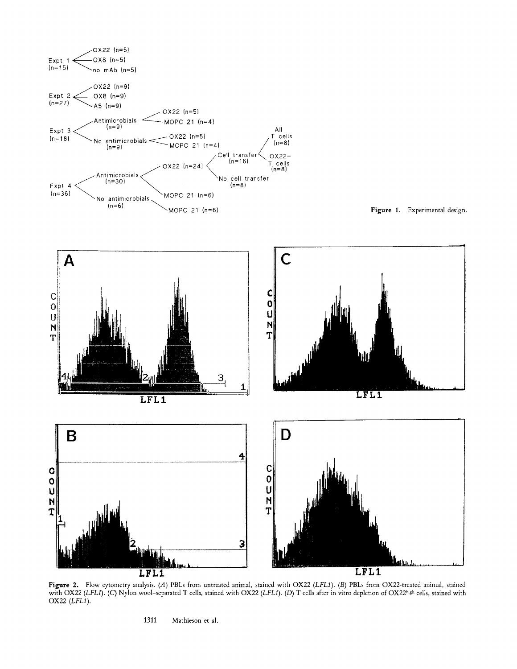



Figure 2. Flow cytometry analysis. (A) PBLs from untreated animal, stained with OX22 *(LFL1). (B)* PBLs from OX22-treated animal, stained with OX22 *(LFL1). (C)* Nylon wool-separated T cells, stained with OX22 *(LFL1). (D)* T cells after in vitro depletion of OX22<sup>high</sup> cells, stained with OX22  $(LFL1)$ .

1311 Mathieson et al.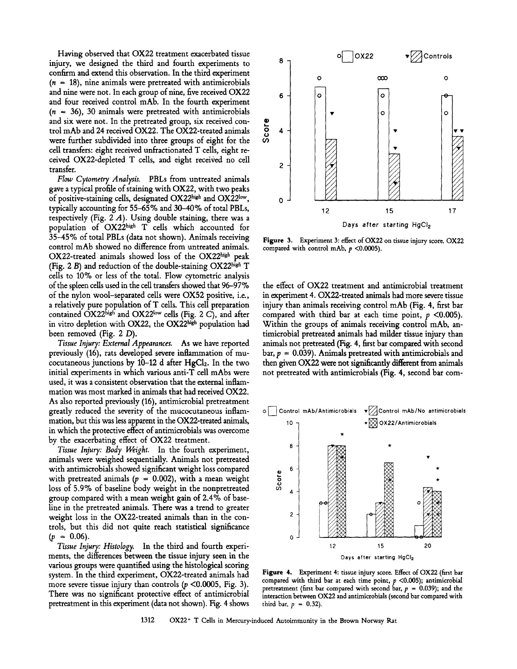Having observed that OX22 treatment exacerbated tissue injury, we designed the third and fourth experiments to <sup>8</sup> confirm and extend this observation. In the third experiment  $(n = 18)$ , nine animals were pretreated with antimicrobials and nine were not. In each group of nine, five received  $OX22$  6 and four received control mAb. In the fourth experiment  $(n = 36)$ , 30 animals were pretreated with antimicrobials and six were not. In the pretreated group, six received conand six were not. In the pretreated group, six received control mAb and 24 received OX22. The OX22-treated animals  $\frac{6}{9}$  4 were further subdivided into three groups of eight for the  $\frac{6}{9}$ were further subdivided into three groups of eight for the cell transfers: eight received unftactionated T cells, eight received OX22-depleted T cells, and eight received no cell transfer.

*Flow Cytometry Analysis.* PBLs from untreated animals gave a typical profile of staining with OX22, with two peaks of positive-staining cells, designated  $OX22<sup>high</sup>$  and  $OX22<sup>low</sup>$ ,  $\qquad o$ typically accounting for 55-65 % and 30-40% of total PBLs, respectively (Fig. 2  $A$ ). Using double staining, there was a population of OX22high T cells which accounted for 35-45% of total PBLs (data not shown). Animals receiving control mAb showed no difference from untreated animals.  $OX22$ -treated animals showed loss of the  $OX22$ <sup>high</sup> peak (Fig. 2 B) and reduction of the double-staining  $OX22<sup>high</sup> T$ cells to 10% or less of the total. Flow cytometric analysis of the spleen cells used in the cell transfers showed that 96-97% of the nylon wool-separated cells were OX52 positive, i.e., a relatively pure population of T cells. This cell preparation contained  $OX22<sup>high</sup>$  and  $OX22<sup>low</sup>$  cells (Fig. 2 C), and after in vitro depletion with OX22, the OX22high population had been removed (Fig. 2 D).

*Tissue Injury: External Appearances.* As we have reported previously (16), rats developed severe inflammation of mucocutaneous junctions by  $10-12$  d after HgCl<sub>2</sub>. In the two initial experiments in which various anti-T cell mAbs were used, it was a consistent observation that the external inflammation was most marked in animals that had received OX22. As also reported previously (16), antimicrobial pretreatment greatly reduced the severity of the mucocutaneous inflammation, but this was less apparent in the OX22-treated animals, in which the protective effect of antimicrobials was overcome by the exacerbating effect of OX22 treatment.

*Tissue Injury: Body Weight.* In the fourth experiment, s animals were weighed sequentially. Animals not pretreated with antimicrobials showed significant weight loss compared<br>with pretreated animals ( $p = 0.002$ ), with a mean weight<br>loss of 5.9% of baseline body weight in the nonpretreated with pretreated animals ( $p = 0.002$ ), with a mean weight b  $\frac{5}{6}$  loss of 5.9% of baseline body weight in the nonpretreated  $\frac{5}{4}$ group compared with a mean weight gain of 2.4% of baseline in the pretreated animals. There was a trend to greater weight loss in the OX22-treated animals than in the con- $2$ trols, but this did not quite reach statistical significance  $(p = 0.06)$ .

*Tissue Injury: Histology.* In the third and fourth experiments, the differences between the tissue injury seen in the various groups were quantified using the histological scoring system. In the third experiment, OX22-treated animals had more severe tissue injury than controls  $(p \le 0.0005,$  Fig. 3). There was no significant protective effect of antimicrobial pretreatment in this experiment (data not shown). Fig. 4 shows



Figure 3. Experiment 3: effect of OX22 on tissue injury score. OX22 compared with control mAb,  $p < 0.0005$ ).

the effect of OX22 treatment and antimicrobial treatment in experiment 4. OX22-treated animals had more severe tissue injury than animals receiving control mAb (Fig. 4, first bar compared with third bar at each time point,  $p < 0.005$ ). Within the groups of animals receiving control mAb, antimicrobial pretreated animals had milder tissue injury than animals not pretreated (Fig. 4, first bar compared with second bar,  $p = 0.039$ ). Animals pretreated with antimicrobials and then given OX22 were not significantly different from animals not pretreated with antimicrobials (Fig. 4, second bar com-



**Figure** 4. Experiment 4: tissue injury score. Effect of OX22 (first bar compared with third bar at each time point,  $p < 0.005$ ); antimicrobial pretreatment (first bar compared with second bar,  $p = 0.039$ ); and the interaction between OX22 and antimicrobials (second bar compared with third bar,  $p = 0.32$ ).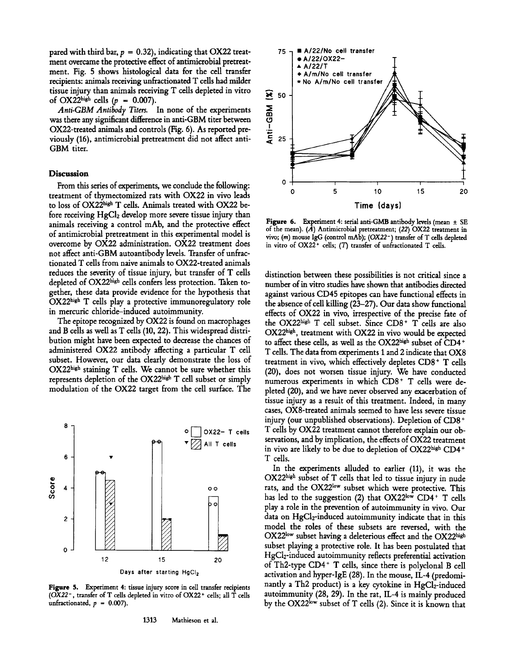pared with third bar,  $p = 0.32$ ), indicating that OX22 treatment overcame the protective effect of antimicrobial pretreatment. Fig. 5 shows histological data for the cell transfer recipients: animals receiving unfractionated T cells had milder tissue injury than animals receiving T cells depleted in vitro of OX22<sup>high</sup> cells ( $p = 0.007$ ).

*Anti-GBM Antibody Titers.* In none of the experiments was there any significant difference in anti-GBM titer between OX22-treated animals and controls (Fig. 6). As reported previously (16), antimicrobial pretreatment did not affect anti-GBM titer.

#### **Discussion**

From this series of experiments, we conclude the following: treatment of thymectomized rats with OX22 in vivo leads to loss of OX22 high T cells. Animals treated with OX22 before receiving HgC12 develop more severe tissue injury than animals receiving a control mAb, and the protective effect of antimicrobial pretreatment in this experimental model is overcome by OX22 administration. OX22 treatment does not affect anti-GBM autoantibody levels. Transfer of unfractionated T cells from naive animals to OX22-treated animals reduces the severity of tissue injury, but transfer of T cells depleted of OX22high cells confers less protection. Taken together, these data provide evidence for the hypothesis that  $OX22<sup>high</sup>$  T cells play a protective immunoregulatory role in mercuric chloride-induced autoimmunity.

The epitope recognized by OX22 is found on macrophages and B cells as well as T cells (10, 22). This widespread distribution might have been expected to decrease the chances of administered OX22 antibody affecting a particular T cell subset. However, our data dearly demonstrate the loss of  $OX22<sup>high</sup> staining T cells. We cannot be sure whether this$ represents depletion of the OX22high T cell subset or simply modulation of the OX22 target from the cell surface. The



Figure 5. Experiment 4: tissue injury score in cell transfer recipients *(0X22-,* transfer of T cells depleted in vitro of OX22 + cells; all T cells unfractionated, p = *0.007).* 



Figure 6. Experiment 4: serial anti-GMB antibody levels (mean  $\pm$  SE of the mean). (A) Antimicrobiai pretreatment; *(22)* OX22 treatment in vivo; (m) mouse IgG (control mAb); (OX22<sup>-</sup>) transfer of T cells depleted in vitro of OX22<sup>+</sup> cells; (T) transfer of unfractionated T cells.

distinction between these possibilities is not critical since a number of in vitro studies have shown that antibodies directed against various CD45 epitopes can have functional effects in the absence of cell killing (23-27). Our data show functional effects of OX22 in vivo, irrespective of the precise fate of the OX22high T cell subset. Since  $CD8<sup>+</sup>$  T cells are also OX22high, treatment with OX22 in vivo would be expected to affect these cells, as well as the OX22high subset of CD4+ T cells. The data from experiments 1 and 2 indicate that OX8 treatment in vivo, which effectively depletes CD8 + T cells (20), does not worsen tissue injury. We have conducted numerous experiments in which CD8<sup>+</sup> T cells were depleted (20), and we have never observed any exacerbation of tissue injury as a result of this treatment. Indeed, in many cases, OX8-treated animals seemed to have less severe tissue injury (our unpublished observations). Depletion of CD8 + T cells by OX22 treatment cannot therefore explain our observations, and by implication, the effects of OX22 treatment in vivo are likely to be due to depletion of OX22high CD4+ T cells.

In the experiments alluded to earlier (11), it was the OX22high subset of T cells that led to tissue injury in nude rats, and the OX22<sup>low</sup> subset which were protective. This has led to the suggestion (2) that  $OX22^{\text{low}}$  CD4+ T cells play a role in the prevention of autoimmunity in vivo. Our data on HgCl<sub>2</sub>-induced autoimmunity indicate that in this model the roles of these subsets are reversed, with the OX22low subset having a deleterious effect and the OX22high subset playing a protective role. It has been postulated that HgC12-induced autoimmunity reflects preferential activation of Th2-type  $CD4+T$  cells, since there is polyclonal B cell activation and hyper-IgE (28). In the mouse, IL-4 (predominantly a Th2 product) is a key cytokine in HgCl<sub>2</sub>-induced autoimmunity (28, 29). In the rat, IL-4 is mainly produced by the OX22<sup>low</sup> subset of T cells (2). Since it is known that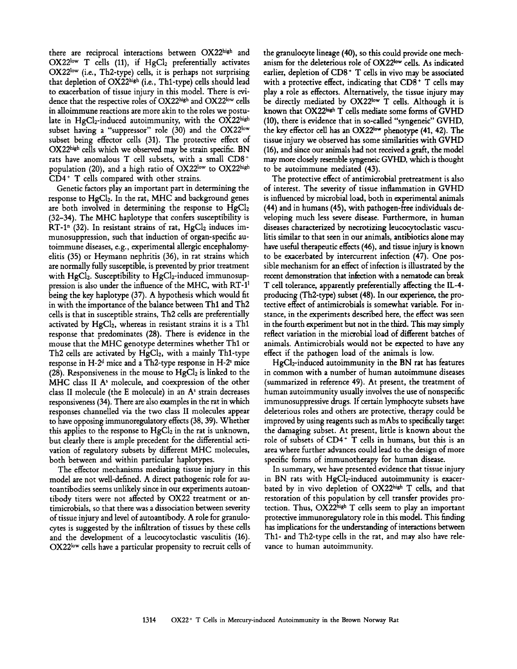there are reciprocal interactions between OX22high and  $OX22^{\text{low}}$  T cells (11), if  $HgCl<sub>2</sub>$  preferentially activates  $OX22<sup>low</sup>$  (i.e., Th2-type) cells, it is perhaps not surprising that depletion of OX22high (i.e., Th1-type) cells should lead to exacerbation of tissue injury in this model. There is evidence that the respective roles of  $OX22^{\text{high}}$  and  $OX22^{\text{low}}$  cells in alloimmune reactions are more akin to the roles we postulate in HgCl<sub>2</sub>-induced autoimmunity, with the  $OX22^{\text{high}}$ subset having a "suppressor" role  $(30)$  and the OX22<sup>low</sup> subset being effector cells (31). The protective effect of OX22high cells which we observed may be strain specific. BN rats have anomalous T cell subsets, with a small CD8+ population (20), and a high ratio of OX22low to OX22high CD4 + T cells compared with other strains.

Genetic factors play an important part in determining the response to  $HgCl<sub>2</sub>$ . In the rat, MHC and background genes are both involved in determining the response to  $HgCl<sub>2</sub>$ (32-34). The MHC haplotype that confers susceptibility is RT-1<sup>n</sup> (32). In resistant strains of rat,  $HgCl<sub>2</sub>$  induces immunosuppression, such that induction of organ-specific autoimmune diseases, e.g., experimental allergic encephalomyelitis (35) or Heymann nephritis (36), in rat strains which are normally fully susceptible, is prevented by prior treatment with  $HgCl<sub>2</sub>$ . Susceptibility to  $HgCl<sub>2</sub>$ -induced immunosuppression is also under the influence of the MHC, with RT-11 being the key haplotype (37). A hypothesis which would fit in with the importance of the balance between Thl and Th2 cells is that in susceptible strains, Th2 cells are preferentially activated by  $HgCl<sub>2</sub>$ , whereas in resistant strains it is a Th1 response that predominates (28). There is evidence in the mouse that the MHC genotype determines whether Thl or Th2 cells are activated by HgCl<sub>2</sub>, with a mainly Th1-type response in  $H-2<sup>d</sup>$  mice and a Th2-type response in  $H-2<sup>s</sup>$  mice (28). Responsiveness in the mouse to  $HgCl<sub>2</sub>$  is linked to the MHC class II  $A<sup>s</sup>$  molecule, and coexpression of the other class II molecule (the E molecule) in an  $A<sup>s</sup>$  strain decreases responsiveness (34). There are also examples in the rat in which responses channelled via the two class II molecules appear to have opposing immunoregulatory effects (38, 39). Whether this applies to the response to HgCl<sub>2</sub> in the rat is unknown, but clearly there is ample precedent for the differential activation of regulatory subsets by different MHC molecules, both between and within particular haplotypes.

The effector mechanisms mediating tissue injury in this model are not well-defined. A direct pathogenic role for autoantibodies seems unlikely since in our experiments autoantibody titers were not affected by OX22 treatment or antimicrobials, so that there was a dissociation between severity of tissue injury and level of autoantibody. A role for granulocytes is suggested by the infiltration of tissues by these cells and the development of a leucocytoclastic vasculitis (16).  $OX22^{\text{low}}$  cells have a particular propensity to recruit cells of the granulocyte lineage (40), so this could provide one mechanism for the deleterious role of OX22low cells. As indicated earlier, depletion of  $CD8<sup>+</sup>$  T cells in vivo may be associated with a protective effect, indicating that  $CD8<sup>+</sup>$  T cells may play a role as effectors. Alternatively, the tissue injury may be directly mediated by OX22<sup>low</sup> T cells. Although it is known that OX22high T cells mediate some forms of GVHD (10), there is evidence that in so-called "syngeneic" GVHD, the key effector cell has an OX22 $low$  phenotype (41, 42). The tissue injury we observed has some similarities with GVHD (16), and since our animals had not received a graft, the model may more dosely resemble syngeneic GVHD, which is thought to be autoimmune mediated (43).

The protective effect of antimicrobial pretreatment is also of interest. The severity of tissue inflammation in GVHD is influenced by microbial load, both in experimental animals (44) and in humans (45), with pathogen-free individuals developing much less severe disease. Furthermore, in human diseases characterized by necrotizing leucocytoclastic vasculitis similar to that seen in our animals, antibiotics alone may have useful therapeutic effects (46), and tissue injury is known to be exacerbated by intercurrent infection (47). One possible mechanism for an effect of infection is illustrated by the recent demonstration that infection with a nematode can break T cell tolerance, apparently preferentially affecting the IL-4 producing (Th2-type) subset (48). In our experience, the protective effect of antimicrobials is somewhat variable. For instance, in the experiments described here, the effect was seen in the fourth experiment but not in the third. This may simply reflect variation in the microbial load of different batches of animals. Antimicrobials would not be expected to have any effect if the pathogen load of the animals is low.

HgCl2-induced autoimmunity in the BN rat has features in common with a number of human autoimmune diseases (summarized in reference 49). At present, the treatment of human autoimmunity usually involves the use of nonspecific immunosuppressive drugs. If certain lymphocyte subsets have deleterious roles and others are protective, therapy could be improved by using reagents such as mAbs to specifically target the damaging subset. At present, little is known about the role of subsets of CD4 + T cells in humans, but this is an area where further advances could lead to the design of more specific forms of immunotherapy for human disease.

In summary, we have presented evidence that tissue injury in BN rats with HgCl<sub>2</sub>-induced autoimmunity is exacerbated by in vivo depletion of  $OX22<sup>high</sup> T$  cells, and that restoration of this population by cell transfer provides protection. Thus,  $OX22<sup>high</sup>$  T cells seem to play an important protective immunoregulatory role in this model. This finding has implications for the understanding of interactions between Thl- and Th2-type cells in the rat, and may also have relevance to human autoimmunity.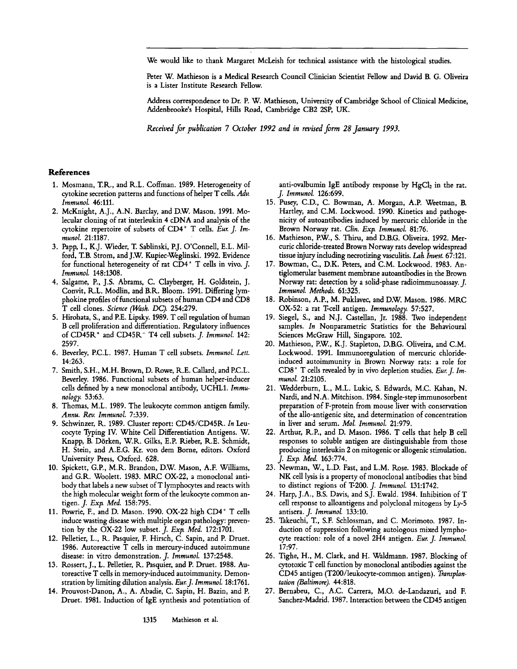We would like to thank Margaret McLeish for technical assistance with the histological studies.

Peter W. Mathieson is a Medical Research Council Clinician Scientist Fellow and David B. G. Oliveira is a Lister Institute Research Fellow.

Address correspondence to Dr. P. W. Mathieson, University of Cambridge School of Clinical Medicine, Addenbrooke's Hospital, Hills Road, Cambridge CB2 2SP, UK.

*Received for publication 7 October 1992 and in revised form 28 January 1993.* 

## **References**

- 1. Mosmann, T.R., and R.L. Coffman. 1989. Heterogeneity of cytokine secretion patterns and functions of helper T cells. *Adv. Immunol.* 46:111.
- 2. McKnight, A.J., A.N. Barclay, and D.W. Mason. 1991. Molecular cloning of rat interleukin 4 cDNA and analysis of the cytokine repertoire of subsets of CD4 + T cells. *Fur. J. Immunol.* 21:1187.
- 3. Papp, I., K.J. Wieder, T. Sablinski, P.J. O'Connell, E.L. Milford, T.B. Strom, and J.W. Kupiec-Weglinski. 1992. Evidence for functional heterogeneity of rat  $CD4$ <sup>+</sup> T cells in vivo. J. *Immunol.* 148:1308.
- 4. Salgame, P., J.S. Abrams, C. Clayberger, H. Goldstein, J. Convit, R.L. Modlin, and B.R. Bloom. 1991. Differing lymphokine profiles of functional subsets of human CD4 and CD8 T cell clones. *Science (Wash. DC).* 254:279.
- 5. Hirohata, S., and P.E. Lipsky. 1989. T cell regulation of human B cell proliferation and differentiation. Regulatory influences of CD45R + and CD45R- T4 cell subsets.J. *Immunol.* 142: 2597.
- 6. Beverley, P.C.L. 1987. Human T cell subsets. *Immunol. Lett.*  14:263.
- 7. Smith, S.H., M.H. Brown, D. Rowe, R.E. Callard, and P.C.L. Beverley. 1986. Functional subsets of human helper-inducer cells defined by a new monoclonal antibody, UCHL1. *Immu. nology.* 53:63.
- 8. Thomas, M.L. 1989. The leukocyte common antigen family. *Annu. Rev. Immunol.* 7:339.
- 9. Schwinzer, R. 1989. Cluster report: CD45/CD45R. *In Leu*cocyte Typing IV. White Cell Differentiation Antigens. W. Knapp, B. Dörken, W.R. Gilks, E.P. Rieber, R.E. Schmidt, H. Stein, and A.E.G. Kr. von dem Borne, editors. Oxford University Press, Oxford. 628.
- 10. Spickett, G.P., M.R. Brandon, D.W. Mason, A.F. Williams, and G.R. Woolett. 1983. MRC OX-22, a monoclonal antibody that labels a new subset of T lymphocytes and reacts with the high molecular weight form of the leukocyte common antigen. *J. Exp. Med.* 158:795.
- 11. Powrie, F., and D. Mason. 1990. OX-22 high CD4+ T cells induce wasting disease with multiple organ pathology: prevention by the OX-22 low subset. *J. Exp. Med.* 172:1701.
- 12. Pelletier, L., R. Pasquier, F. Hirsch, C. Sapin, and P. Druet. 1986. Autoreactive T cells in mercury-induced autoimmune disease: in vitro demonstration. *J. Immunol.* 137:2548.
- 13. Rossert, J., L. Pelletier, R. Pasquier, and P. Druet. 1988. Autoreactive T cells in memory-induced autoimmunity. Demonstration by limiting dilution analysis. *Eur.J. Immunol.* 18:1761.
- 14. Prouvost-Danon, A., A. Abadie, C. Sapin, H. Bazin, and P. Druet. 1981. Induction of IgE synthesis and potentiation of

anti-ovalbumin IgE antibody response by  $HgCl<sub>2</sub>$  in the rat. *J. Immunol.* 126:699.

- 15. Pusey, C.D., C. Bowman, A. Morgan, A.P. Weetman, B. Hartley, and C.M. Lockwood. 1990. Kinetics and pathogenicity of autoantibodies induced by mercuric chloride in the Brown Norway rat. Clin. Exp. Immunol. 81:76.
- 16. Mathieson, P.W., S. Thiru, and D.B.G. Oliveira. 1992. Mercuric chloride-treated Brown Norway rats develop widespread tissue injury including necrotizing vasculitis. Lab *Invest.* 67:121.
- 17. Bowman, C., D.K. Peters, and C.M. Lockwood. 1983. Antiglomerular basement membrane autoantibodies in the Brown Norway rat: detection by a solid-phase radioimmunoassay. J. *Immunol. Methods.* 61:325.
- 18. Robinson, A.P., M. Puklavec, and D.W. Mason. 1986. MRC OX-52: a rat T-cell antigen. *Immunology.* 57:527.
- 19. Siegel, S., and N.J. Castellan, Jr. 1988. Two independent samples. *In* Nonparametric Statistics for the Behavioural Sciences McGraw Hill, Singapore. 102.
- 20. Mathieson, P.W., K.J. Stapleton, D.B.G. Oliveira, and C.M. Lockwood. 1991. Immunoregulation of mercuric chlorideinduced autoimmunity in Brown Norway rats: a role for CD8 + T cells revealed by in vivo depletion studies. *Eur. J. Immunol.* 21:2105.
- 21. Wedderburn, L., M.L. Lukic, S. Edwards, M.C. Kahan, N. Nardi, and N.A. Mitchison. 1984. Single-step immunosorbent preparation of F-protein from mouse liver with conservation of the allo-antigenic site, and determination of concentration in liver and serum. *Mol. Immunol.* 21:979.
- 22. Arthur, R.P., and D. Mason. 1986. T cells that help B cell responses to soluble antigen are distinguishable from those producing interleukin 2 on mitogenic or allogenic stimulation. *J. Extx Med.* 163:774.
- 23. Newman, W., L.D. Fast, and L.M. Rose. 1983. Blockade of NK cell lysis is a property of monoclonal antibodies that bind to distinct regions of T-200. *J. Immunol.* 131:1742.
- 24. Harp, J.A., B.S. Davis, and S.J. Ewald. 1984. Inhibition of T cell response to alloantigens and polyclonal mitogens by Ly-5 antisera. *J. Immunol.* 133:10.
- 25. Takeuchi, T., S.F. Schlossman, and C. Morimoto. 1987. Induction of suppression following autologous mixed lymphocyte reaction: role of a novel 2H4 antigen. *Eur. J. Immunol.*  17:97.
- 26. Tighe, H., M. Clark, and H. Waldmann. 1987. Blocking of cytotoxic T cell function by monoclonal antibodies against the CD45 antigen (T200/leukocyte-common antigen). *Transplantation (Baltimore).* 44:818.
- 27. Bernabeu, C., A.C. Carrera, M.O. de-Landazuri, and F. Sanchez-Madrid. 1987. Interaction between the CD45 antigen